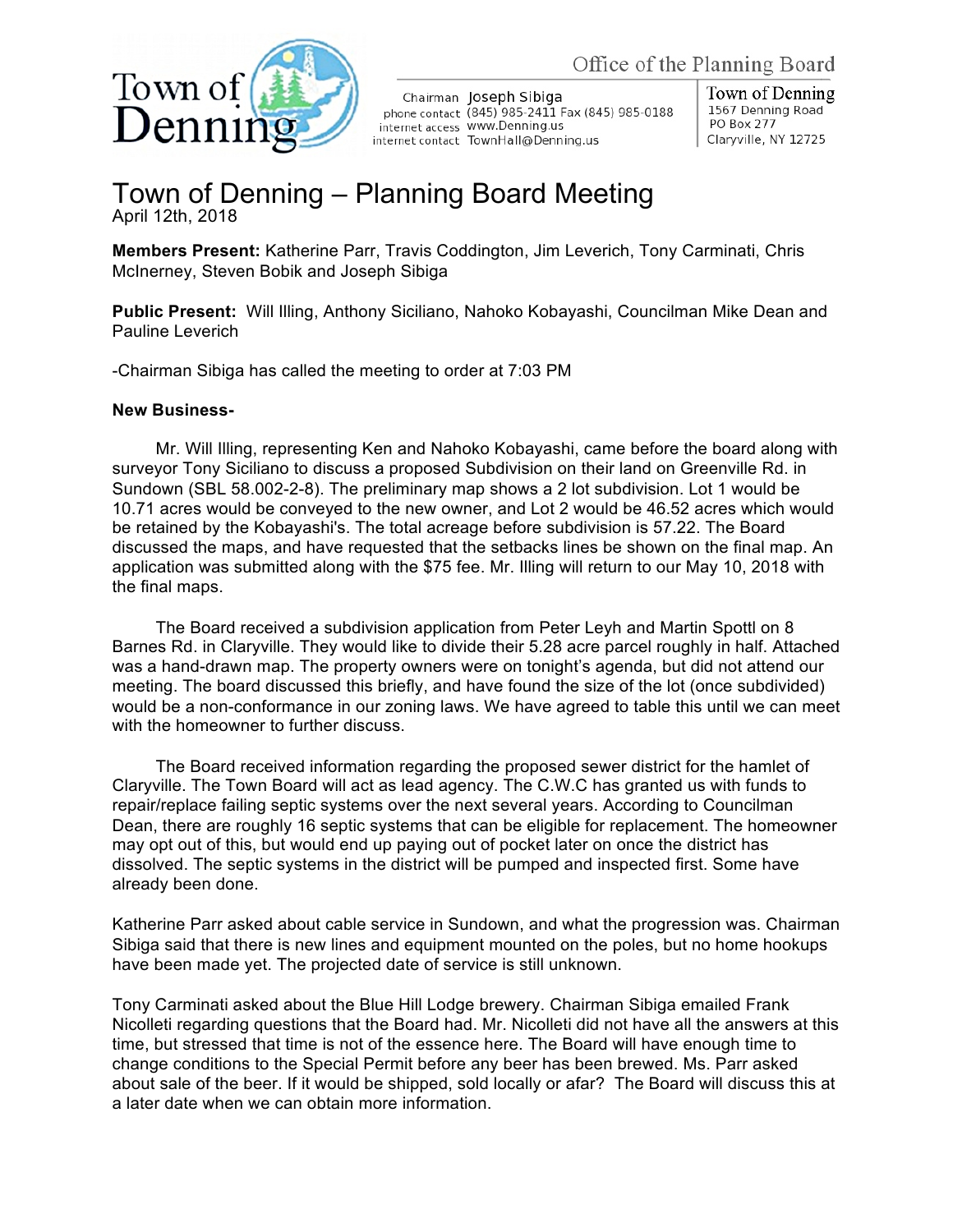

Chairman Joseph Sibiga phone contact (845) 985-2411 Fax (845) 985-0188 internet access WWW.Denning.us internet contact TownHall@Denning.us

Town of Denning 1567 Denning Road PO Box 277 Claryville, NY 12725

## Town of Denning – Planning Board Meeting April 12th, 2018

**Members Present:** Katherine Parr, Travis Coddington, Jim Leverich, Tony Carminati, Chris McInerney, Steven Bobik and Joseph Sibiga

**Public Present:** Will Illing, Anthony Siciliano, Nahoko Kobayashi, Councilman Mike Dean and Pauline Leverich

-Chairman Sibiga has called the meeting to order at 7:03 PM

## **New Business-**

Mr. Will Illing, representing Ken and Nahoko Kobayashi, came before the board along with surveyor Tony Siciliano to discuss a proposed Subdivision on their land on Greenville Rd. in Sundown (SBL 58.002-2-8). The preliminary map shows a 2 lot subdivision. Lot 1 would be 10.71 acres would be conveyed to the new owner, and Lot 2 would be 46.52 acres which would be retained by the Kobayashi's. The total acreage before subdivision is 57.22. The Board discussed the maps, and have requested that the setbacks lines be shown on the final map. An application was submitted along with the \$75 fee. Mr. Illing will return to our May 10, 2018 with the final maps.

The Board received a subdivision application from Peter Leyh and Martin Spottl on 8 Barnes Rd. in Claryville. They would like to divide their 5.28 acre parcel roughly in half. Attached was a hand-drawn map. The property owners were on tonight's agenda, but did not attend our meeting. The board discussed this briefly, and have found the size of the lot (once subdivided) would be a non-conformance in our zoning laws. We have agreed to table this until we can meet with the homeowner to further discuss.

The Board received information regarding the proposed sewer district for the hamlet of Claryville. The Town Board will act as lead agency. The C.W.C has granted us with funds to repair/replace failing septic systems over the next several years. According to Councilman Dean, there are roughly 16 septic systems that can be eligible for replacement. The homeowner may opt out of this, but would end up paying out of pocket later on once the district has dissolved. The septic systems in the district will be pumped and inspected first. Some have already been done.

Katherine Parr asked about cable service in Sundown, and what the progression was. Chairman Sibiga said that there is new lines and equipment mounted on the poles, but no home hookups have been made yet. The projected date of service is still unknown.

Tony Carminati asked about the Blue Hill Lodge brewery. Chairman Sibiga emailed Frank Nicolleti regarding questions that the Board had. Mr. Nicolleti did not have all the answers at this time, but stressed that time is not of the essence here. The Board will have enough time to change conditions to the Special Permit before any beer has been brewed. Ms. Parr asked about sale of the beer. If it would be shipped, sold locally or afar? The Board will discuss this at a later date when we can obtain more information.